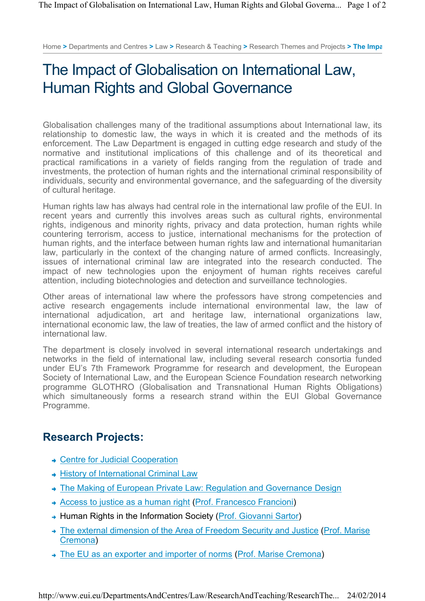Home **>** Departments and Centres **>** Law **>** Research & Teaching **>** Research Themes and Projects **> The Impa**

## The Impact of Globalisation on International Law, Human Rights and Global Governance

Globalisation challenges many of the traditional assumptions about International law, its relationship to domestic law, the ways in which it is created and the methods of its enforcement. The Law Department is engaged in cutting edge research and study of the normative and institutional implications of this challenge and of its theoretical and practical ramifications in a variety of fields ranging from the regulation of trade and investments, the protection of human rights and the international criminal responsibility of individuals, security and environmental governance, and the safeguarding of the diversity of cultural heritage.

Human rights law has always had central role in the international law profile of the EUI. In recent years and currently this involves areas such as cultural rights, environmental rights, indigenous and minority rights, privacy and data protection, human rights while countering terrorism, access to justice, international mechanisms for the protection of human rights, and the interface between human rights law and international humanitarian law, particularly in the context of the changing nature of armed conflicts. Increasingly, issues of international criminal law are integrated into the research conducted. The impact of new technologies upon the enjoyment of human rights receives careful attention, including biotechnologies and detection and surveillance technologies.

Other areas of international law where the professors have strong competencies and active research engagements include international environmental law, the law of international adjudication, art and heritage law, international organizations law, international economic law, the law of treaties, the law of armed conflict and the history of international law.

The department is closely involved in several international research undertakings and networks in the field of international law, including several research consortia funded under EU's 7th Framework Programme for research and development, the European Society of International Law, and the European Science Foundation research networking programme GLOTHRO (Globalisation and Transnational Human Rights Obligations) which simultaneously forms a research strand within the EUI Global Governance Programme.

## **Research Projects:**

- Centre for Judicial Cooperation
- **+ History of International Criminal Law**
- The Making of European Private Law: Regulation and Governance Design
- Access to justice as a human right (Prof. Francesco Francioni)
- → Human Rights in the Information Society (Prof. Giovanni Sartor)
- The external dimension of the Area of Freedom Security and Justice (Prof. Marise) Cremona)
- The EU as an exporter and importer of norms (Prof. Marise Cremona)